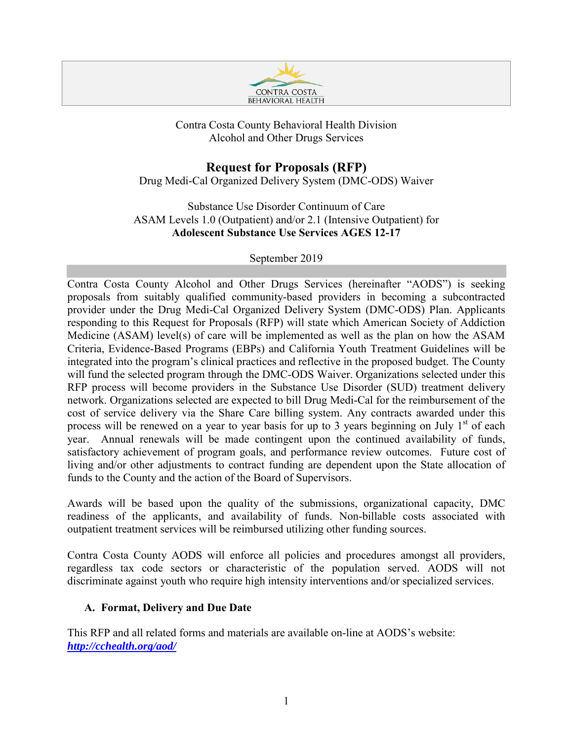

## Contra Costa County Behavioral Health Division Alcohol and Other Drugs Services

## **Request for Proposals (RFP)**

Drug Medi-Cal Organized Delivery System (DMC-ODS) Waiver

Substance Use Disorder Continuum of Care ASAM Levels 1.0 (Outpatient) and/or 2.1 (Intensive Outpatient) for **Adolescent Substance Use Services AGES 12-17** 

#### September 2019

Contra Costa County Alcohol and Other Drugs Services (hereinafter "AODS") is seeking proposals from suitably qualified community-based providers in becoming a subcontracted provider under the Drug Medi-Cal Organized Delivery System (DMC-ODS) Plan. Applicants responding to this Request for Proposals (RFP) will state which American Society of Addiction Medicine (ASAM) level(s) of care will be implemented as well as the plan on how the ASAM Criteria, Evidence-Based Programs (EBPs) and California Youth Treatment Guidelines will be integrated into the program's clinical practices and reflective in the proposed budget. The County will fund the selected program through the DMC-ODS Waiver. Organizations selected under this RFP process will become providers in the Substance Use Disorder (SUD) treatment delivery network. Organizations selected are expected to bill Drug Medi-Cal for the reimbursement of the cost of service delivery via the Share Care billing system. Any contracts awarded under this process will be renewed on a year to year basis for up to 3 years beginning on July  $1<sup>st</sup>$  of each year. Annual renewals will be made contingent upon the continued availability of funds, satisfactory achievement of program goals, and performance review outcomes. Future cost of living and/or other adjustments to contract funding are dependent upon the State allocation of funds to the County and the action of the Board of Supervisors.

Awards will be based upon the quality of the submissions, organizational capacity, DMC readiness of the applicants, and availability of funds. Non-billable costs associated with outpatient treatment services will be reimbursed utilizing other funding sources.

Contra Costa County AODS will enforce all policies and procedures amongst all providers, regardless tax code sectors or characteristic of the population served. AODS will not discriminate against youth who require high intensity interventions and/or specialized services.

#### **A. Format, Delivery and Due Date**

This RFP and all related forms and materials are available on-line at AODS's website: *<http://cchealth.org/aod/>*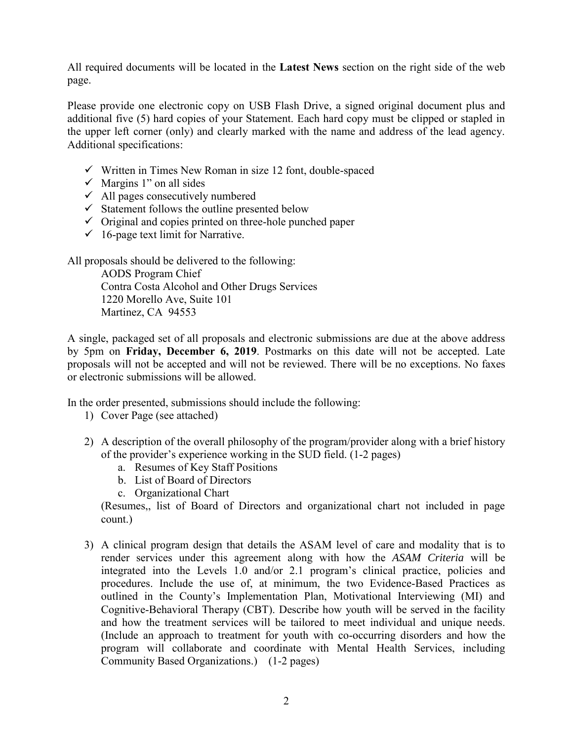All required documents will be located in the **Latest News** section on the right side of the web page.

Please provide one electronic copy on USB Flash Drive, a signed original document plus and additional five (5) hard copies of your Statement. Each hard copy must be clipped or stapled in the upper left corner (only) and clearly marked with the name and address of the lead agency. Additional specifications:

- $\checkmark$  Written in Times New Roman in size 12 font, double-spaced
- $\checkmark$  Margins 1" on all sides
- $\checkmark$  All pages consecutively numbered
- $\checkmark$  Statement follows the outline presented below
- $\checkmark$  Original and copies printed on three-hole punched paper
- $\checkmark$  16-page text limit for Narrative.

All proposals should be delivered to the following:

 AODS Program Chief Contra Costa Alcohol and Other Drugs Services 1220 Morello Ave, Suite 101 Martinez, CA 94553

A single, packaged set of all proposals and electronic submissions are due at the above address by 5pm on **Friday, December 6, 2019**. Postmarks on this date will not be accepted. Late proposals will not be accepted and will not be reviewed. There will be no exceptions. No faxes or electronic submissions will be allowed.

In the order presented, submissions should include the following:

- 1) Cover Page (see attached)
- 2) A description of the overall philosophy of the program/provider along with a brief history of the provider's experience working in the SUD field. (1-2 pages)
	- a. Resumes of Key Staff Positions
	- b. List of Board of Directors
	- c. Organizational Chart

(Resumes,, list of Board of Directors and organizational chart not included in page count.)

3) A clinical program design that details the ASAM level of care and modality that is to render services under this agreement along with how the *ASAM Criteria* will be integrated into the Levels 1.0 and/or 2.1 program's clinical practice, policies and procedures. Include the use of, at minimum, the two Evidence-Based Practices as outlined in the County's Implementation Plan, Motivational Interviewing (MI) and Cognitive-Behavioral Therapy (CBT). Describe how youth will be served in the facility and how the treatment services will be tailored to meet individual and unique needs. (Include an approach to treatment for youth with co-occurring disorders and how the program will collaborate and coordinate with Mental Health Services, including Community Based Organizations.) (1-2 pages)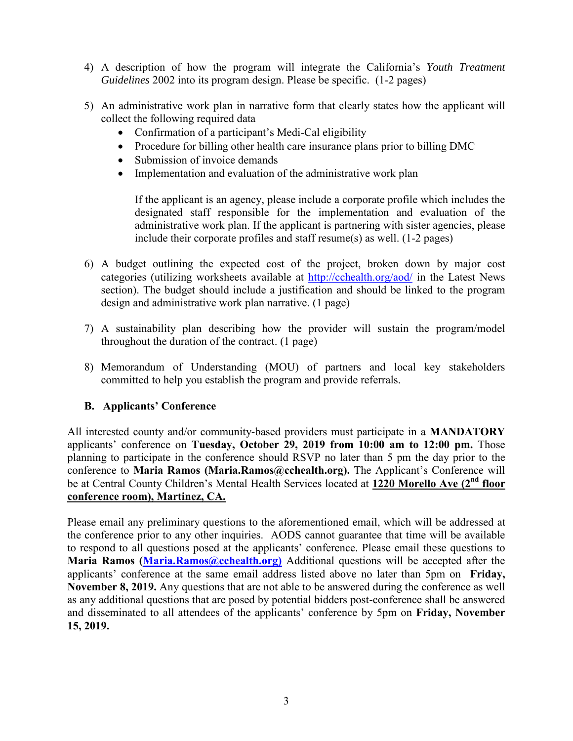- 4) A description of how the program will integrate the California's *Youth Treatment Guidelines* 2002 into its program design. Please be specific. (1-2 pages)
- 5) An administrative work plan in narrative form that clearly states how the applicant will collect the following required data
	- Confirmation of a participant's Medi-Cal eligibility
	- Procedure for billing other health care insurance plans prior to billing DMC
	- Submission of invoice demands
	- Implementation and evaluation of the administrative work plan

If the applicant is an agency, please include a corporate profile which includes the designated staff responsible for the implementation and evaluation of the administrative work plan. If the applicant is partnering with sister agencies, please include their corporate profiles and staff resume(s) as well. (1-2 pages)

- 6) A budget outlining the expected cost of the project, broken down by major cost categories (utilizing worksheets available at<http://cchealth.org/aod/>in the Latest News section). The budget should include a justification and should be linked to the program design and administrative work plan narrative. (1 page)
- 7) A sustainability plan describing how the provider will sustain the program/model throughout the duration of the contract. (1 page)
- 8) Memorandum of Understanding (MOU) of partners and local key stakeholders committed to help you establish the program and provide referrals.

#### **B. Applicants' Conference**

All interested county and/or community-based providers must participate in a **MANDATORY** applicants' conference on **Tuesday, October 29, 2019 from 10:00 am to 12:00 pm.** Those planning to participate in the conference should RSVP no later than 5 pm the day prior to the conference to **Maria Ramos (Maria.Ramos@cchealth.org).** The Applicant's Conference will be at Central County Children's Mental Health Services located at **1220 Morello Ave (2nd floor conference room), Martinez, CA.**

Please email any preliminary questions to the aforementioned email, which will be addressed at the conference prior to any other inquiries. AODS cannot guarantee that time will be available to respond to all questions posed at the applicants' conference. Please email these questions to **Maria Ramos [\(Maria.Ramos@cchealth.org\)](mailto:Maria.Ramos@cchealth.org))** Additional questions will be accepted after the applicants' conference at the same email address listed above no later than 5pm on **Friday, November 8, 2019.** Any questions that are not able to be answered during the conference as well as any additional questions that are posed by potential bidders post-conference shall be answered and disseminated to all attendees of the applicants' conference by 5pm on **Friday, November 15, 2019.**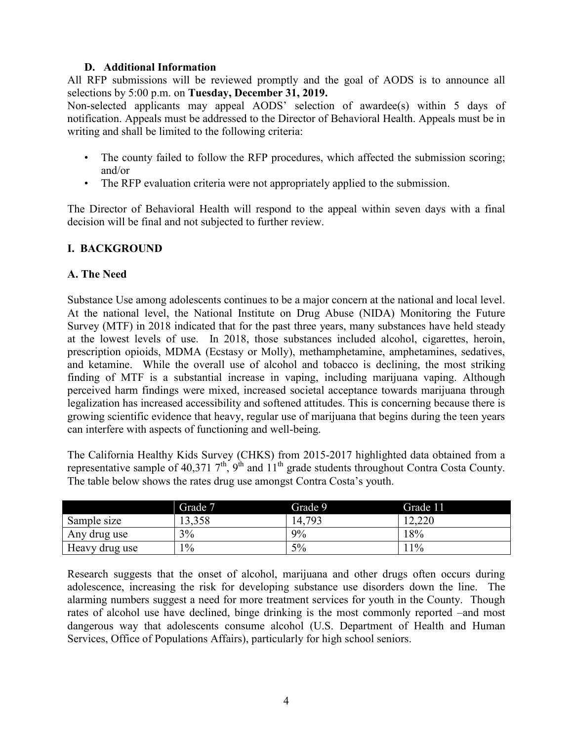#### **D. Additional Information**

All RFP submissions will be reviewed promptly and the goal of AODS is to announce all selections by 5:00 p.m. on **Tuesday, December 31, 2019.**

Non-selected applicants may appeal AODS' selection of awardee(s) within 5 days of notification. Appeals must be addressed to the Director of Behavioral Health. Appeals must be in writing and shall be limited to the following criteria:

- The county failed to follow the RFP procedures, which affected the submission scoring; and/or
- The RFP evaluation criteria were not appropriately applied to the submission.

The Director of Behavioral Health will respond to the appeal within seven days with a final decision will be final and not subjected to further review.

#### **I. BACKGROUND**

#### **A. The Need**

Substance Use among adolescents continues to be a major concern at the national and local level. At the national level, the National Institute on Drug Abuse (NIDA) Monitoring the Future Survey (MTF) in 2018 indicated that for the past three years, many substances have held steady at the lowest levels of use. In 2018, those substances included alcohol, cigarettes, heroin, prescription opioids, MDMA (Ecstasy or Molly), methamphetamine, amphetamines, sedatives, and ketamine. While the overall use of alcohol and tobacco is declining, the most striking finding of MTF is a substantial increase in vaping, including marijuana vaping. Although perceived harm findings were mixed, increased societal acceptance towards marijuana through legalization has increased accessibility and softened attitudes. This is concerning because there is growing scientific evidence that heavy, regular use of marijuana that begins during the teen years can interfere with aspects of functioning and well-being.

The California Healthy Kids Survey (CHKS) from 2015-2017 highlighted data obtained from a representative sample of 40,371  $7<sup>th</sup>$ ,  $9<sup>th</sup>$  and  $11<sup>th</sup>$  grade students throughout Contra Costa County. The table below shows the rates drug use amongst Contra Costa's youth.

|                | Grade 7 | Grade 9 | Grade 11      |
|----------------|---------|---------|---------------|
| Sample size    | 13,358  | 14,793  | ററ<br>∪∠∡د ∠. |
| Any drug use   | 3%      | 9%      | 18%           |
| Heavy drug use | 10/0    | 5%      | $1\%$         |

Research suggests that the onset of alcohol, marijuana and other drugs often occurs during adolescence, increasing the risk for developing substance use disorders down the line. The alarming numbers suggest a need for more treatment services for youth in the County. Though rates of alcohol use have declined, binge drinking is the most commonly reported –and most dangerous way that adolescents consume alcohol (U.S. Department of Health and Human Services, Office of Populations Affairs), particularly for high school seniors.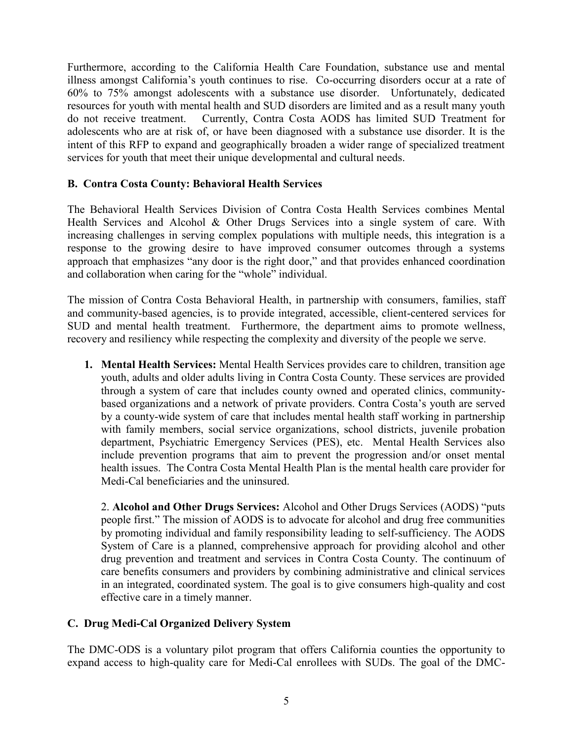Furthermore, according to the California Health Care Foundation, substance use and mental illness amongst California's youth continues to rise. Co-occurring disorders occur at a rate of 60% to 75% amongst adolescents with a substance use disorder. Unfortunately, dedicated resources for youth with mental health and SUD disorders are limited and as a result many youth do not receive treatment. Currently, Contra Costa AODS has limited SUD Treatment for adolescents who are at risk of, or have been diagnosed with a substance use disorder. It is the intent of this RFP to expand and geographically broaden a wider range of specialized treatment services for youth that meet their unique developmental and cultural needs.

#### **B. Contra Costa County: Behavioral Health Services**

The Behavioral Health Services Division of Contra Costa Health Services combines Mental Health Services and Alcohol & Other Drugs Services into a single system of care. With increasing challenges in serving complex populations with multiple needs, this integration is a response to the growing desire to have improved consumer outcomes through a systems approach that emphasizes "any door is the right door," and that provides enhanced coordination and collaboration when caring for the "whole" individual.

The mission of Contra Costa Behavioral Health, in partnership with consumers, families, staff and community-based agencies, is to provide integrated, accessible, client-centered services for SUD and mental health treatment. Furthermore, the department aims to promote wellness, recovery and resiliency while respecting the complexity and diversity of the people we serve.

**1. Mental Health Services:** Mental Health Services provides care to children, transition age youth, adults and older adults living in Contra Costa County. These services are provided through a system of care that includes county owned and operated clinics, communitybased organizations and a network of private providers. Contra Costa's youth are served by a county-wide system of care that includes mental health staff working in partnership with family members, social service organizations, school districts, juvenile probation department, Psychiatric Emergency Services (PES), etc. Mental Health Services also include prevention programs that aim to prevent the progression and/or onset mental health issues. The Contra Costa Mental Health Plan is the mental health care provider for Medi-Cal beneficiaries and the uninsured.

2. **Alcohol and Other Drugs Services:** Alcohol and Other Drugs Services (AODS) "puts people first." The mission of AODS is to advocate for alcohol and drug free communities by promoting individual and family responsibility leading to self-sufficiency. The AODS System of Care is a planned, comprehensive approach for providing alcohol and other drug prevention and treatment and services in Contra Costa County. The continuum of care benefits consumers and providers by combining administrative and clinical services in an integrated, coordinated system. The goal is to give consumers high-quality and cost effective care in a timely manner.

#### **C. Drug Medi-Cal Organized Delivery System**

The DMC-ODS is a voluntary pilot program that offers California counties the opportunity to expand access to high-quality care for Medi-Cal enrollees with SUDs. The goal of the DMC-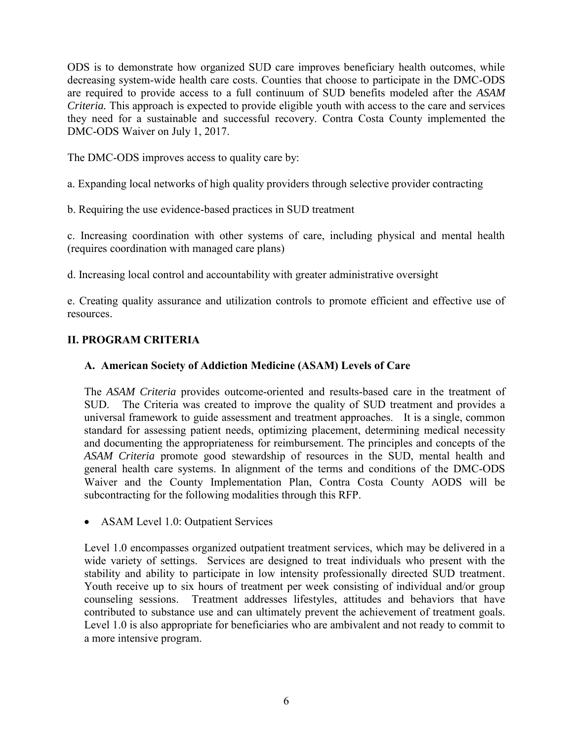ODS is to demonstrate how organized SUD care improves beneficiary health outcomes, while decreasing system-wide health care costs. Counties that choose to participate in the DMC-ODS are required to provide access to a full continuum of SUD benefits modeled after the *ASAM Criteria.* This approach is expected to provide eligible youth with access to the care and services they need for a sustainable and successful recovery. Contra Costa County implemented the DMC-ODS Waiver on July 1, 2017.

The DMC-ODS improves access to quality care by:

a. Expanding local networks of high quality providers through selective provider contracting

b. Requiring the use evidence-based practices in SUD treatment

c. Increasing coordination with other systems of care, including physical and mental health (requires coordination with managed care plans)

d. Increasing local control and accountability with greater administrative oversight

e. Creating quality assurance and utilization controls to promote efficient and effective use of resources.

## **II. PROGRAM CRITERIA**

## **A. American Society of Addiction Medicine (ASAM) Levels of Care**

The *ASAM Criteria* provides outcome-oriented and results-based care in the treatment of SUD. The Criteria was created to improve the quality of SUD treatment and provides a universal framework to guide assessment and treatment approaches. It is a single, common standard for assessing patient needs, optimizing placement, determining medical necessity and documenting the appropriateness for reimbursement. The principles and concepts of the *ASAM Criteria* promote good stewardship of resources in the SUD, mental health and general health care systems. In alignment of the terms and conditions of the DMC-ODS Waiver and the County Implementation Plan, Contra Costa County AODS will be subcontracting for the following modalities through this RFP.

• ASAM Level 1.0: Outpatient Services

Level 1.0 encompasses organized outpatient treatment services, which may be delivered in a wide variety of settings. Services are designed to treat individuals who present with the stability and ability to participate in low intensity professionally directed SUD treatment. Youth receive up to six hours of treatment per week consisting of individual and/or group counseling sessions. Treatment addresses lifestyles, attitudes and behaviors that have contributed to substance use and can ultimately prevent the achievement of treatment goals. Level 1.0 is also appropriate for beneficiaries who are ambivalent and not ready to commit to a more intensive program.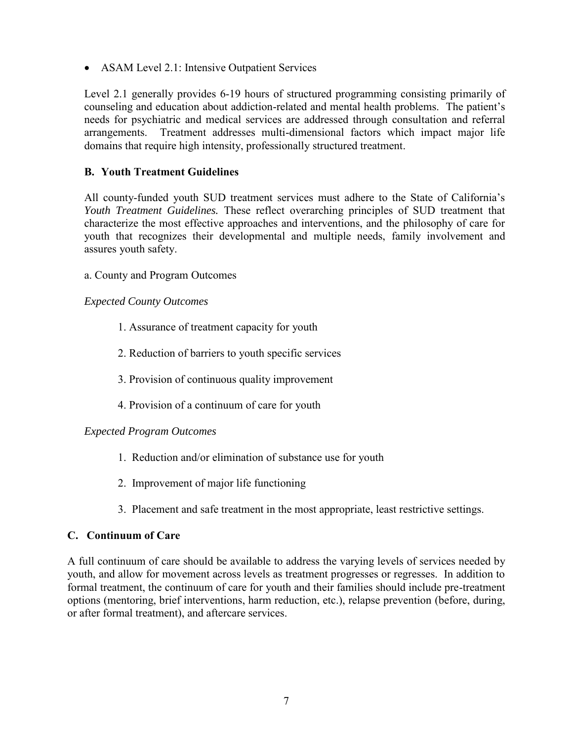• ASAM Level 2.1: Intensive Outpatient Services

Level 2.1 generally provides 6-19 hours of structured programming consisting primarily of counseling and education about addiction-related and mental health problems. The patient's needs for psychiatric and medical services are addressed through consultation and referral arrangements. Treatment addresses multi-dimensional factors which impact major life domains that require high intensity, professionally structured treatment.

## **B. Youth Treatment Guidelines**

All county-funded youth SUD treatment services must adhere to the State of California's *Youth Treatment Guidelines.* These reflect overarching principles of SUD treatment that characterize the most effective approaches and interventions, and the philosophy of care for youth that recognizes their developmental and multiple needs, family involvement and assures youth safety.

a. County and Program Outcomes

#### *Expected County Outcomes*

- 1. Assurance of treatment capacity for youth
- 2. Reduction of barriers to youth specific services
- 3. Provision of continuous quality improvement
- 4. Provision of a continuum of care for youth

#### *Expected Program Outcomes*

- 1. Reduction and/or elimination of substance use for youth
- 2. Improvement of major life functioning
- 3. Placement and safe treatment in the most appropriate, least restrictive settings.

#### **C. Continuum of Care**

A full continuum of care should be available to address the varying levels of services needed by youth, and allow for movement across levels as treatment progresses or regresses. In addition to formal treatment, the continuum of care for youth and their families should include pre-treatment options (mentoring, brief interventions, harm reduction, etc.), relapse prevention (before, during, or after formal treatment), and aftercare services.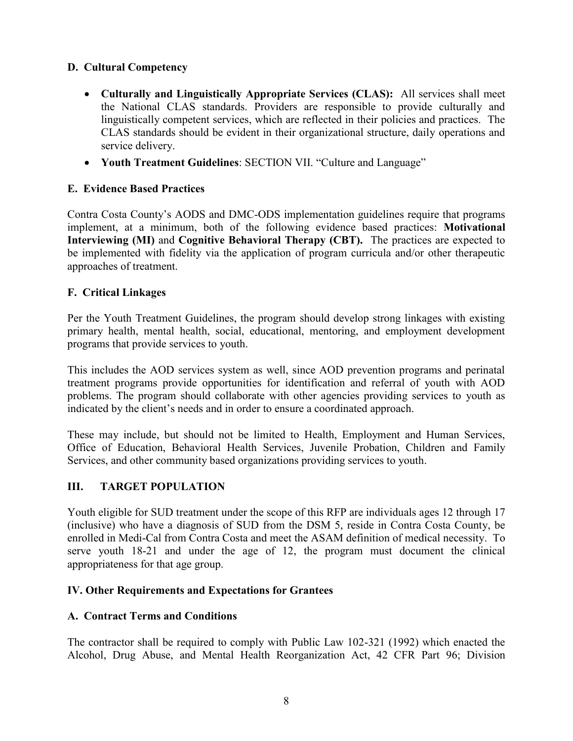## **D. Cultural Competency**

- **Culturally and Linguistically Appropriate Services (CLAS):** All services shall meet the National CLAS standards. Providers are responsible to provide culturally and linguistically competent services, which are reflected in their policies and practices. The CLAS standards should be evident in their organizational structure, daily operations and service delivery.
- **Youth Treatment Guidelines**: SECTION VII. "Culture and Language"

### **E. Evidence Based Practices**

Contra Costa County's AODS and DMC-ODS implementation guidelines require that programs implement, at a minimum, both of the following evidence based practices: **Motivational Interviewing (MI)** and **Cognitive Behavioral Therapy (CBT).** The practices are expected to be implemented with fidelity via the application of program curricula and/or other therapeutic approaches of treatment.

#### **F. Critical Linkages**

Per the Youth Treatment Guidelines, the program should develop strong linkages with existing primary health, mental health, social, educational, mentoring, and employment development programs that provide services to youth.

This includes the AOD services system as well, since AOD prevention programs and perinatal treatment programs provide opportunities for identification and referral of youth with AOD problems. The program should collaborate with other agencies providing services to youth as indicated by the client's needs and in order to ensure a coordinated approach.

These may include, but should not be limited to Health, Employment and Human Services, Office of Education, Behavioral Health Services, Juvenile Probation, Children and Family Services, and other community based organizations providing services to youth.

#### **III. TARGET POPULATION**

Youth eligible for SUD treatment under the scope of this RFP are individuals ages 12 through 17 (inclusive) who have a diagnosis of SUD from the DSM 5, reside in Contra Costa County, be enrolled in Medi-Cal from Contra Costa and meet the ASAM definition of medical necessity. To serve youth 18-21 and under the age of 12, the program must document the clinical appropriateness for that age group.

#### **IV. Other Requirements and Expectations for Grantees**

#### **A. Contract Terms and Conditions**

The contractor shall be required to comply with Public Law 102-321 (1992) which enacted the Alcohol, Drug Abuse, and Mental Health Reorganization Act, 42 CFR Part 96; Division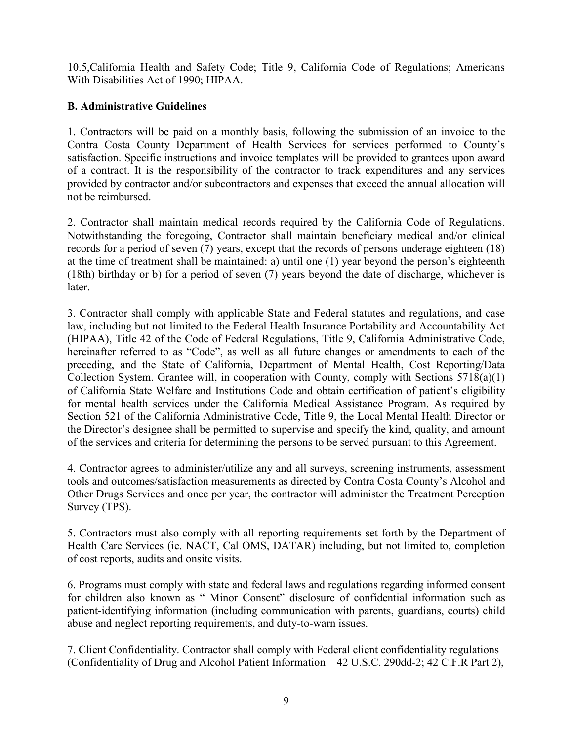10.5,California Health and Safety Code; Title 9, California Code of Regulations; Americans With Disabilities Act of 1990; HIPAA.

## **B. Administrative Guidelines**

1. Contractors will be paid on a monthly basis, following the submission of an invoice to the Contra Costa County Department of Health Services for services performed to County's satisfaction. Specific instructions and invoice templates will be provided to grantees upon award of a contract. It is the responsibility of the contractor to track expenditures and any services provided by contractor and/or subcontractors and expenses that exceed the annual allocation will not be reimbursed.

2. Contractor shall maintain medical records required by the California Code of Regulations. Notwithstanding the foregoing, Contractor shall maintain beneficiary medical and/or clinical records for a period of seven (7) years, except that the records of persons underage eighteen (18) at the time of treatment shall be maintained: a) until one (1) year beyond the person's eighteenth (18th) birthday or b) for a period of seven (7) years beyond the date of discharge, whichever is later.

3. Contractor shall comply with applicable State and Federal statutes and regulations, and case law, including but not limited to the Federal Health Insurance Portability and Accountability Act (HIPAA), Title 42 of the Code of Federal Regulations, Title 9, California Administrative Code, hereinafter referred to as "Code", as well as all future changes or amendments to each of the preceding, and the State of California, Department of Mental Health, Cost Reporting/Data Collection System. Grantee will, in cooperation with County, comply with Sections 5718(a)(1) of California State Welfare and Institutions Code and obtain certification of patient's eligibility for mental health services under the California Medical Assistance Program. As required by Section 521 of the California Administrative Code, Title 9, the Local Mental Health Director or the Director's designee shall be permitted to supervise and specify the kind, quality, and amount of the services and criteria for determining the persons to be served pursuant to this Agreement.

4. Contractor agrees to administer/utilize any and all surveys, screening instruments, assessment tools and outcomes/satisfaction measurements as directed by Contra Costa County's Alcohol and Other Drugs Services and once per year, the contractor will administer the Treatment Perception Survey (TPS).

5. Contractors must also comply with all reporting requirements set forth by the Department of Health Care Services (ie. NACT, Cal OMS, DATAR) including, but not limited to, completion of cost reports, audits and onsite visits.

6. Programs must comply with state and federal laws and regulations regarding informed consent for children also known as " Minor Consent" disclosure of confidential information such as patient-identifying information (including communication with parents, guardians, courts) child abuse and neglect reporting requirements, and duty-to-warn issues.

7. Client Confidentiality. Contractor shall comply with Federal client confidentiality regulations (Confidentiality of Drug and Alcohol Patient Information – 42 U.S.C. 290dd-2; 42 C.F.R Part 2),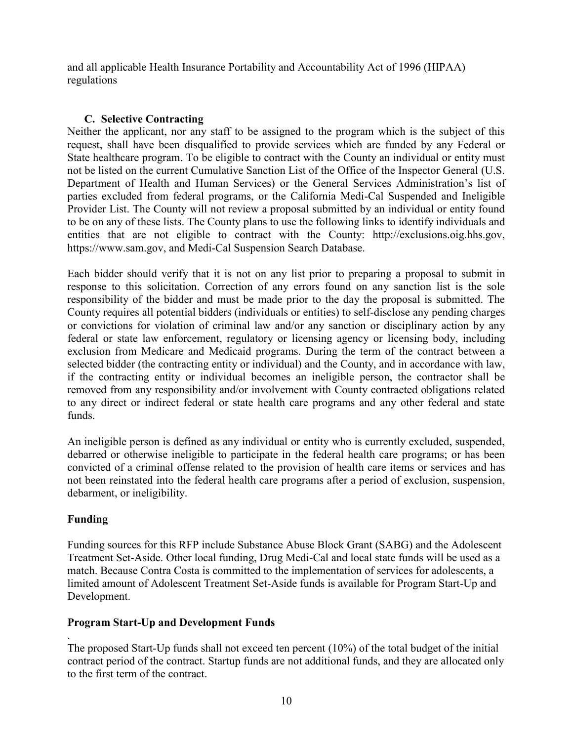and all applicable Health Insurance Portability and Accountability Act of 1996 (HIPAA) regulations

#### **C. Selective Contracting**

Neither the applicant, nor any staff to be assigned to the program which is the subject of this request, shall have been disqualified to provide services which are funded by any Federal or State healthcare program. To be eligible to contract with the County an individual or entity must not be listed on the current Cumulative Sanction List of the Office of the Inspector General (U.S. Department of Health and Human Services) or the General Services Administration's list of parties excluded from federal programs, or the California Medi-Cal Suspended and Ineligible Provider List. The County will not review a proposal submitted by an individual or entity found to be on any of these lists. The County plans to use the following links to identify individuals and entities that are not eligible to contract with the County: http://exclusions.oig.hhs.gov, https://www.sam.gov, and Medi-Cal Suspension Search Database.

Each bidder should verify that it is not on any list prior to preparing a proposal to submit in response to this solicitation. Correction of any errors found on any sanction list is the sole responsibility of the bidder and must be made prior to the day the proposal is submitted. The County requires all potential bidders (individuals or entities) to self-disclose any pending charges or convictions for violation of criminal law and/or any sanction or disciplinary action by any federal or state law enforcement, regulatory or licensing agency or licensing body, including exclusion from Medicare and Medicaid programs. During the term of the contract between a selected bidder (the contracting entity or individual) and the County, and in accordance with law, if the contracting entity or individual becomes an ineligible person, the contractor shall be removed from any responsibility and/or involvement with County contracted obligations related to any direct or indirect federal or state health care programs and any other federal and state funds.

An ineligible person is defined as any individual or entity who is currently excluded, suspended, debarred or otherwise ineligible to participate in the federal health care programs; or has been convicted of a criminal offense related to the provision of health care items or services and has not been reinstated into the federal health care programs after a period of exclusion, suspension, debarment, or ineligibility.

#### **Funding**

Funding sources for this RFP include Substance Abuse Block Grant (SABG) and the Adolescent Treatment Set-Aside. Other local funding, Drug Medi-Cal and local state funds will be used as a match. Because Contra Costa is committed to the implementation of services for adolescents, a limited amount of Adolescent Treatment Set-Aside funds is available for Program Start-Up and Development.

#### **Program Start-Up and Development Funds**

. The proposed Start-Up funds shall not exceed ten percent (10%) of the total budget of the initial contract period of the contract. Startup funds are not additional funds, and they are allocated only to the first term of the contract.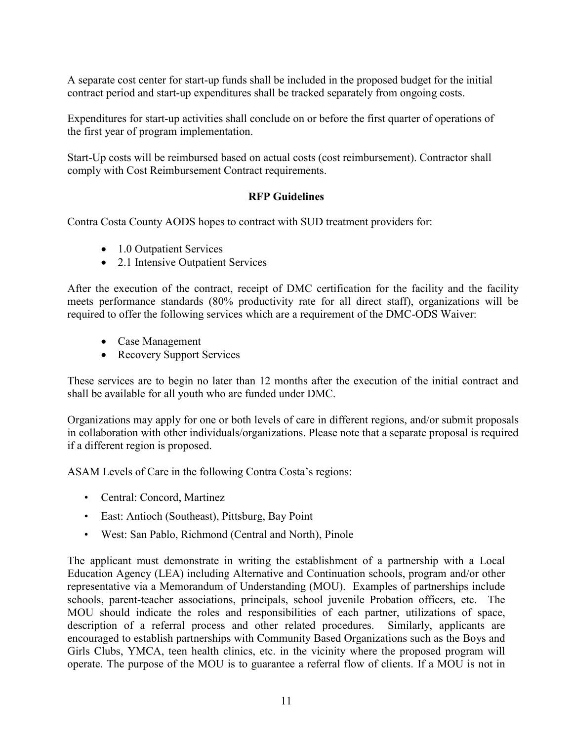A separate cost center for start-up funds shall be included in the proposed budget for the initial contract period and start-up expenditures shall be tracked separately from ongoing costs.

Expenditures for start-up activities shall conclude on or before the first quarter of operations of the first year of program implementation.

Start-Up costs will be reimbursed based on actual costs (cost reimbursement). Contractor shall comply with Cost Reimbursement Contract requirements.

#### **RFP Guidelines**

Contra Costa County AODS hopes to contract with SUD treatment providers for:

- 1.0 Outpatient Services
- 2.1 Intensive Outpatient Services

After the execution of the contract, receipt of DMC certification for the facility and the facility meets performance standards (80% productivity rate for all direct staff), organizations will be required to offer the following services which are a requirement of the DMC-ODS Waiver:

- Case Management
- Recovery Support Services

These services are to begin no later than 12 months after the execution of the initial contract and shall be available for all youth who are funded under DMC.

Organizations may apply for one or both levels of care in different regions, and/or submit proposals in collaboration with other individuals/organizations. Please note that a separate proposal is required if a different region is proposed.

ASAM Levels of Care in the following Contra Costa's regions:

- Central: Concord, Martinez
- East: Antioch (Southeast), Pittsburg, Bay Point
- West: San Pablo, Richmond (Central and North), Pinole

The applicant must demonstrate in writing the establishment of a partnership with a Local Education Agency (LEA) including Alternative and Continuation schools, program and/or other representative via a Memorandum of Understanding (MOU). Examples of partnerships include schools, parent-teacher associations, principals, school juvenile Probation officers, etc. The MOU should indicate the roles and responsibilities of each partner, utilizations of space, description of a referral process and other related procedures. Similarly, applicants are encouraged to establish partnerships with Community Based Organizations such as the Boys and Girls Clubs, YMCA, teen health clinics, etc. in the vicinity where the proposed program will operate. The purpose of the MOU is to guarantee a referral flow of clients. If a MOU is not in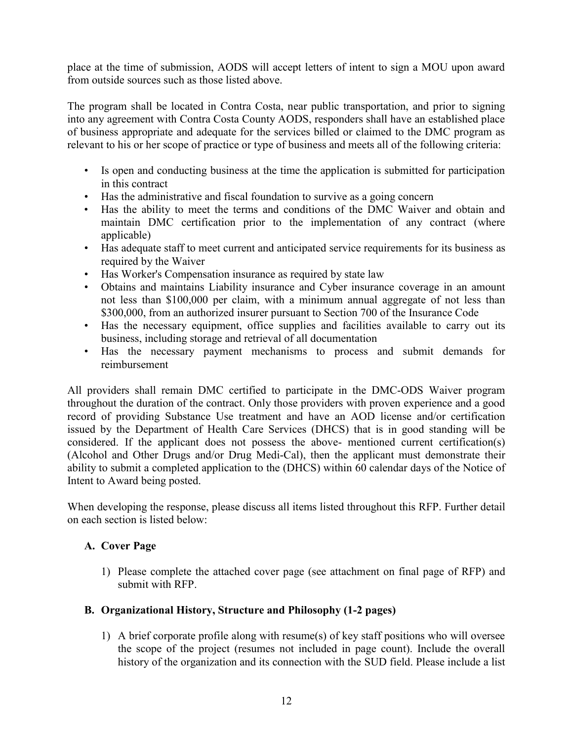place at the time of submission, AODS will accept letters of intent to sign a MOU upon award from outside sources such as those listed above.

The program shall be located in Contra Costa, near public transportation, and prior to signing into any agreement with Contra Costa County AODS, responders shall have an established place of business appropriate and adequate for the services billed or claimed to the DMC program as relevant to his or her scope of practice or type of business and meets all of the following criteria:

- Is open and conducting business at the time the application is submitted for participation in this contract
- Has the administrative and fiscal foundation to survive as a going concern
- Has the ability to meet the terms and conditions of the DMC Waiver and obtain and maintain DMC certification prior to the implementation of any contract (where applicable)
- Has adequate staff to meet current and anticipated service requirements for its business as required by the Waiver
- Has Worker's Compensation insurance as required by state law
- Obtains and maintains Liability insurance and Cyber insurance coverage in an amount not less than \$100,000 per claim, with a minimum annual aggregate of not less than \$300,000, from an authorized insurer pursuant to Section 700 of the Insurance Code
- Has the necessary equipment, office supplies and facilities available to carry out its business, including storage and retrieval of all documentation
- Has the necessary payment mechanisms to process and submit demands for reimbursement

All providers shall remain DMC certified to participate in the DMC-ODS Waiver program throughout the duration of the contract. Only those providers with proven experience and a good record of providing Substance Use treatment and have an AOD license and/or certification issued by the Department of Health Care Services (DHCS) that is in good standing will be considered. If the applicant does not possess the above- mentioned current certification(s) (Alcohol and Other Drugs and/or Drug Medi-Cal), then the applicant must demonstrate their ability to submit a completed application to the (DHCS) within 60 calendar days of the Notice of Intent to Award being posted.

When developing the response, please discuss all items listed throughout this RFP. Further detail on each section is listed below:

#### **A. Cover Page**

1) Please complete the attached cover page (see attachment on final page of RFP) and submit with RFP.

#### **B. Organizational History, Structure and Philosophy (1-2 pages)**

1) A brief corporate profile along with resume(s) of key staff positions who will oversee the scope of the project (resumes not included in page count). Include the overall history of the organization and its connection with the SUD field. Please include a list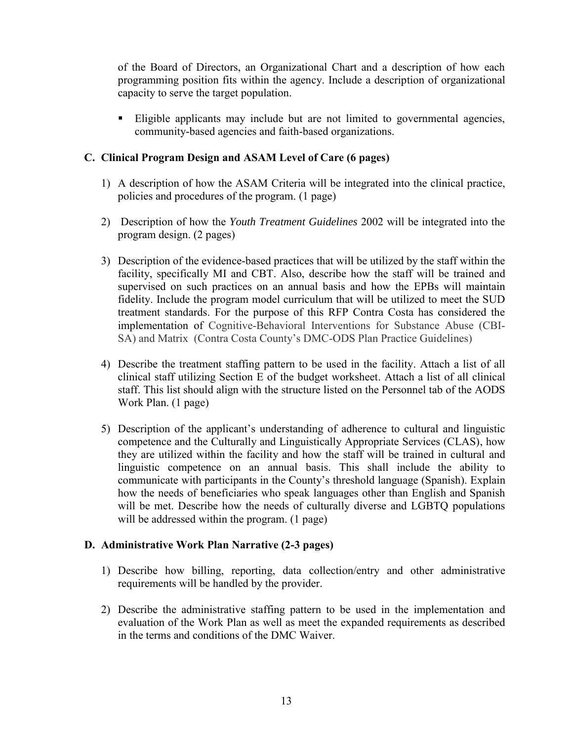of the Board of Directors, an Organizational Chart and a description of how each programming position fits within the agency. Include a description of organizational capacity to serve the target population.

 Eligible applicants may include but are not limited to governmental agencies, community-based agencies and faith-based organizations.

## **C. Clinical Program Design and ASAM Level of Care (6 pages)**

- 1) A description of how the ASAM Criteria will be integrated into the clinical practice, policies and procedures of the program. (1 page)
- 2) Description of how the *Youth Treatment Guidelines* 2002 will be integrated into the program design. (2 pages)
- 3) Description of the evidence-based practices that will be utilized by the staff within the facility, specifically MI and CBT. Also, describe how the staff will be trained and supervised on such practices on an annual basis and how the EPBs will maintain fidelity. Include the program model curriculum that will be utilized to meet the SUD treatment standards. For the purpose of this RFP Contra Costa has considered the implementation of Cognitive-Behavioral Interventions for Substance Abuse (CBI-SA) and Matrix (Contra Costa County's DMC-ODS Plan Practice Guidelines)
- 4) Describe the treatment staffing pattern to be used in the facility. Attach a list of all clinical staff utilizing Section E of the budget worksheet. Attach a list of all clinical staff. This list should align with the structure listed on the Personnel tab of the AODS Work Plan. (1 page)
- 5) Description of the applicant's understanding of adherence to cultural and linguistic competence and the Culturally and Linguistically Appropriate Services (CLAS), how they are utilized within the facility and how the staff will be trained in cultural and linguistic competence on an annual basis. This shall include the ability to communicate with participants in the County's threshold language (Spanish). Explain how the needs of beneficiaries who speak languages other than English and Spanish will be met. Describe how the needs of culturally diverse and LGBTO populations will be addressed within the program. (1 page)

#### **D. Administrative Work Plan Narrative (2-3 pages)**

- 1) Describe how billing, reporting, data collection/entry and other administrative requirements will be handled by the provider.
- 2) Describe the administrative staffing pattern to be used in the implementation and evaluation of the Work Plan as well as meet the expanded requirements as described in the terms and conditions of the DMC Waiver.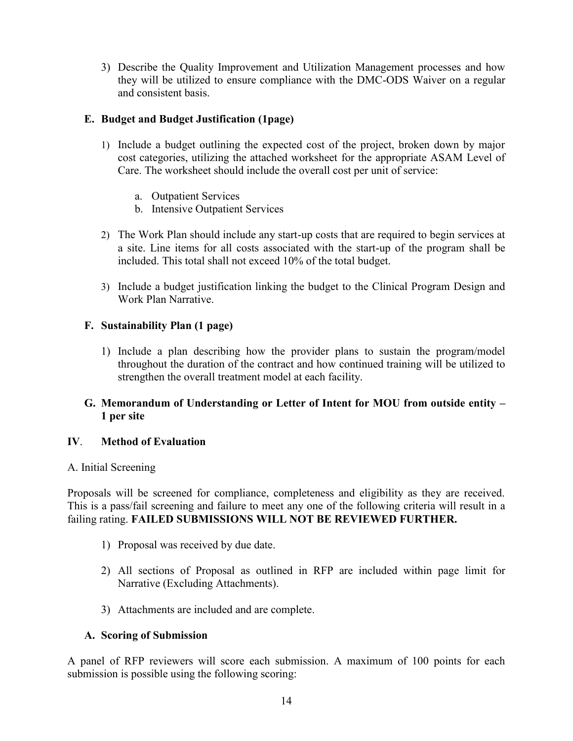3) Describe the Quality Improvement and Utilization Management processes and how they will be utilized to ensure compliance with the DMC-ODS Waiver on a regular and consistent basis.

#### **E. Budget and Budget Justification (1page)**

- 1) Include a budget outlining the expected cost of the project, broken down by major cost categories, utilizing the attached worksheet for the appropriate ASAM Level of Care. The worksheet should include the overall cost per unit of service:
	- a. Outpatient Services
	- b. Intensive Outpatient Services
- 2) The Work Plan should include any start-up costs that are required to begin services at a site. Line items for all costs associated with the start-up of the program shall be included. This total shall not exceed 10% of the total budget.
- 3) Include a budget justification linking the budget to the Clinical Program Design and Work Plan Narrative.

## **F. Sustainability Plan (1 page)**

1) Include a plan describing how the provider plans to sustain the program/model throughout the duration of the contract and how continued training will be utilized to strengthen the overall treatment model at each facility.

#### **G. Memorandum of Understanding or Letter of Intent for MOU from outside entity – 1 per site**

#### **IV**. **Method of Evaluation**

#### A. Initial Screening

Proposals will be screened for compliance, completeness and eligibility as they are received. This is a pass/fail screening and failure to meet any one of the following criteria will result in a failing rating. **FAILED SUBMISSIONS WILL NOT BE REVIEWED FURTHER.** 

- 1) Proposal was received by due date.
- 2) All sections of Proposal as outlined in RFP are included within page limit for Narrative (Excluding Attachments).
- 3) Attachments are included and are complete.

## **A. Scoring of Submission**

A panel of RFP reviewers will score each submission. A maximum of 100 points for each submission is possible using the following scoring: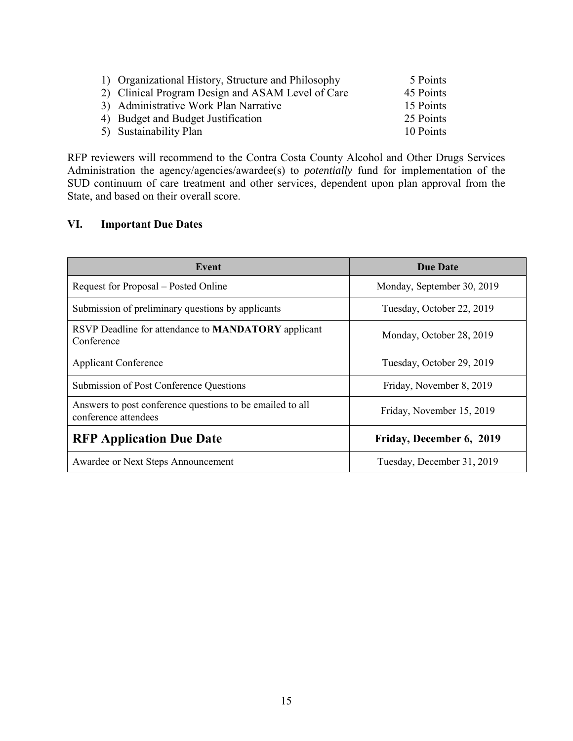| 1) Organizational History, Structure and Philosophy | 5 Points  |
|-----------------------------------------------------|-----------|
| 2) Clinical Program Design and ASAM Level of Care   | 45 Points |
| 3) Administrative Work Plan Narrative               | 15 Points |
| 4) Budget and Budget Justification                  | 25 Points |
| 5) Sustainability Plan                              | 10 Points |

RFP reviewers will recommend to the Contra Costa County Alcohol and Other Drugs Services Administration the agency/agencies/awardee(s) to *potentially* fund for implementation of the SUD continuum of care treatment and other services, dependent upon plan approval from the State, and based on their overall score.

## **VI. Important Due Dates**

| Event                                                                             | <b>Due Date</b>            |
|-----------------------------------------------------------------------------------|----------------------------|
| Request for Proposal – Posted Online                                              | Monday, September 30, 2019 |
| Submission of preliminary questions by applicants                                 | Tuesday, October 22, 2019  |
| RSVP Deadline for attendance to <b>MANDATORY</b> applicant<br>Conference          | Monday, October 28, 2019   |
| <b>Applicant Conference</b>                                                       | Tuesday, October 29, 2019  |
| Submission of Post Conference Questions                                           | Friday, November 8, 2019   |
| Answers to post conference questions to be emailed to all<br>conference attendees | Friday, November 15, 2019  |
| <b>RFP Application Due Date</b>                                                   | Friday, December 6, 2019   |
| Awardee or Next Steps Announcement                                                | Tuesday, December 31, 2019 |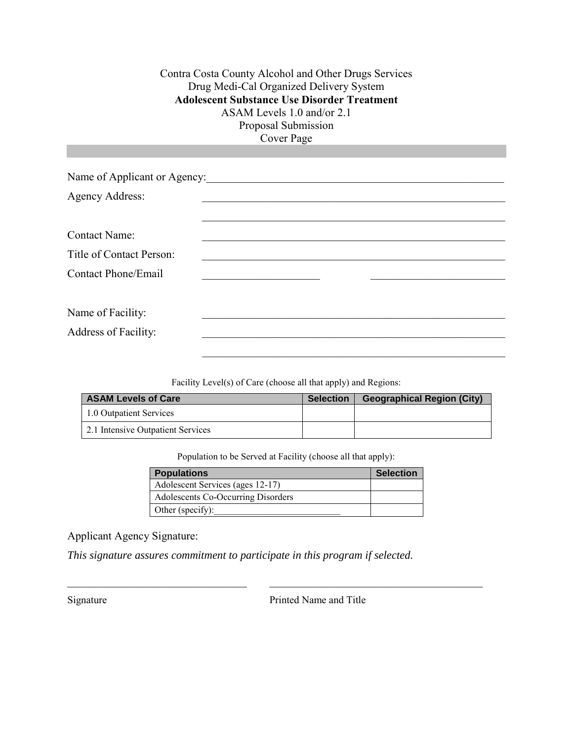Contra Costa County Alcohol and Other Drugs Services Drug Medi-Cal Organized Delivery System **Adolescent Substance Use Disorder Treatment**  ASAM Levels 1.0 and/or 2.1 Proposal Submission Cover Page

| Name of Applicant or Agency: |  |  |  |  |
|------------------------------|--|--|--|--|
| <b>Agency Address:</b>       |  |  |  |  |
|                              |  |  |  |  |
| <b>Contact Name:</b>         |  |  |  |  |
| Title of Contact Person:     |  |  |  |  |
| Contact Phone/Email          |  |  |  |  |
|                              |  |  |  |  |
| Name of Facility:            |  |  |  |  |
| <b>Address of Facility:</b>  |  |  |  |  |
|                              |  |  |  |  |

Facility Level(s) of Care (choose all that apply) and Regions:

| <b>ASAM Levels of Care</b>        | <b>Selection</b> | <b>Geographical Region (City)</b> |
|-----------------------------------|------------------|-----------------------------------|
| 1.0 Outpatient Services           |                  |                                   |
| 2.1 Intensive Outpatient Services |                  |                                   |

Population to be Served at Facility (choose all that apply):

| Populations                        | <b>Selection</b> |
|------------------------------------|------------------|
| Adolescent Services (ages 12-17)   |                  |
| Adolescents Co-Occurring Disorders |                  |
| Other (specify):                   |                  |

Applicant Agency Signature:

*This signature assures commitment to participate in this program if selected.*

Signature Printed Name and Title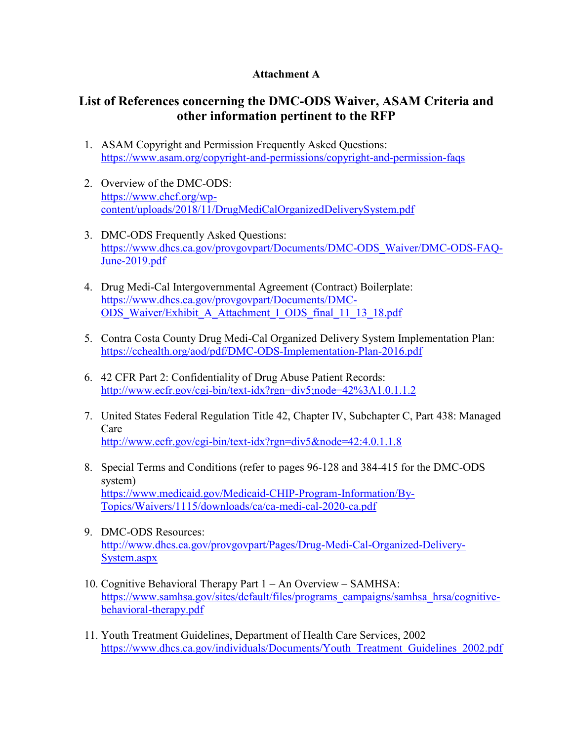#### **Attachment A**

# **List of References concerning the DMC-ODS Waiver, ASAM Criteria and other information pertinent to the RFP**

- 1. ASAM Copyright and Permission Frequently Asked Questions: <https://www.asam.org/copyright-and-permissions/copyright-and-permission-faqs>
- 2. Overview of the DMC-ODS: [https://www.chcf.org/wp](https://www.chcf.org/wp-content/uploads/2018/11/DrugMediCalOrganizedDeliverySystem.pdf)[content/uploads/2018/11/DrugMediCalOrganizedDeliverySystem.pdf](https://www.chcf.org/wp-content/uploads/2018/11/DrugMediCalOrganizedDeliverySystem.pdf)
- 3. DMC-ODS Frequently Asked Questions: [https://www.dhcs.ca.gov/provgovpart/Documents/DMC-ODS\\_Waiver/DMC-ODS-FAQ-](https://www.dhcs.ca.gov/provgovpart/Documents/DMC-ODS_Waiver/DMC-ODS-FAQ-June-2019.pdf)[June-2019.pdf](https://www.dhcs.ca.gov/provgovpart/Documents/DMC-ODS_Waiver/DMC-ODS-FAQ-June-2019.pdf)
- 4. Drug Medi-Cal Intergovernmental Agreement (Contract) Boilerplate: [https://www.dhcs.ca.gov/provgovpart/Documents/DMC-](https://www.dhcs.ca.gov/provgovpart/Documents/DMC-ODS_Waiver/Exhibit_A_Attachment_I_ODS_final_11_13_18.pdf)[ODS\\_Waiver/Exhibit\\_A\\_Attachment\\_I\\_ODS\\_final\\_11\\_13\\_18.pdf](https://www.dhcs.ca.gov/provgovpart/Documents/DMC-ODS_Waiver/Exhibit_A_Attachment_I_ODS_final_11_13_18.pdf)
- 5. Contra Costa County Drug Medi-Cal Organized Delivery System Implementation Plan: <https://cchealth.org/aod/pdf/DMC-ODS-Implementation-Plan-2016.pdf>
- 6. 42 CFR Part 2: Confidentiality of Drug Abuse Patient Records: <http://www.ecfr.gov/cgi-bin/text-idx?rgn=div5;node=42%3A1.0.1.1.2>
- 7. United States Federal Regulation Title 42, Chapter IV, Subchapter C, Part 438: Managed Care <http://www.ecfr.gov/cgi-bin/text-idx?rgn=div5&node=42:4.0.1.1.8>
- 8. Special Terms and Conditions (refer to pages 96-128 and 384-415 for the DMC-ODS system) [https://www.medicaid.gov/Medicaid-CHIP-Program-Information/By-](https://www.medicaid.gov/Medicaid-CHIP-Program-Information/By-Topics/Waivers/1115/downloads/ca/ca-medi-cal-2020-ca.pdf)[Topics/Waivers/1115/downloads/ca/ca-medi-cal-2020-ca.pdf](https://www.medicaid.gov/Medicaid-CHIP-Program-Information/By-Topics/Waivers/1115/downloads/ca/ca-medi-cal-2020-ca.pdf)
- 9. DMC-ODS Resources: [http://www.dhcs.ca.gov/provgovpart/Pages/Drug-Medi-Cal-Organized-Delivery-](http://www.dhcs.ca.gov/provgovpart/Pages/Drug-Medi-Cal-Organized-Delivery-System.aspx)[System.aspx](http://www.dhcs.ca.gov/provgovpart/Pages/Drug-Medi-Cal-Organized-Delivery-System.aspx)
- 10. Cognitive Behavioral Therapy Part 1 An Overview SAMHSA: [https://www.samhsa.gov/sites/default/files/programs\\_campaigns/samhsa\\_hrsa/cognitive](https://www.samhsa.gov/sites/default/files/programs_campaigns/samhsa_hrsa/cognitive-behavioral-therapy.pdf)[behavioral-therapy.pdf](https://www.samhsa.gov/sites/default/files/programs_campaigns/samhsa_hrsa/cognitive-behavioral-therapy.pdf)
- 11. Youth Treatment Guidelines, Department of Health Care Services, 2002 [https://www.dhcs.ca.gov/individuals/Documents/Youth\\_Treatment\\_Guidelines\\_2002.pdf](https://www.dhcs.ca.gov/individuals/Documents/Youth_Treatment_Guidelines_2002.pdf)